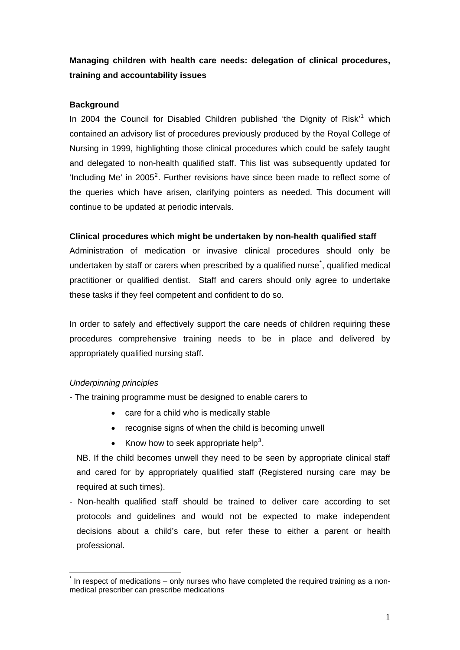# **Managing children with health care needs: delegation of clinical procedures, training and accountability issues**

## **Background**

In 2004 the Council for Disabled Children published 'the Dignity of Risk'<sup>[1](#page-5-0)</sup> which contained an advisory list of procedures previously produced by the Royal College of Nursing in 1999, highlighting those clinical procedures which could be safely taught and delegated to non-health qualified staff. This list was subsequently updated for 'Including Me' in  $2005^2$  $2005^2$ . Further revisions have since been made to reflect some of the queries which have arisen, clarifying pointers as needed. This document will continue to be updated at periodic intervals.

# **Clinical procedures which might be undertaken by non-health qualified staff**

Administration of medication or invasive clinical procedures should only be undertaken by staff or carers when prescribed by a qualified nurse<sup>[\\*](#page-0-0)</sup>, qualified medical practitioner or qualified dentist. Staff and carers should only agree to undertake these tasks if they feel competent and confident to do so.

In order to safely and effectively support the care needs of children requiring these procedures comprehensive training needs to be in place and delivered by appropriately qualified nursing staff.

### *Underpinning principles*

- The training programme must be designed to enable carers to

- care for a child who is medically stable
- recognise signs of when the child is becoming unwell
- Know how to seek appropriate help<sup>[3](#page-5-1)</sup>.

NB. If the child becomes unwell they need to be seen by appropriate clinical staff and cared for by appropriately qualified staff (Registered nursing care may be required at such times).

- Non-health qualified staff should be trained to deliver care according to set protocols and guidelines and would not be expected to make independent decisions about a child's care, but refer these to either a parent or health professional.

<span id="page-0-0"></span><sup>&</sup>lt;u>.</u> \* In respect of medications – only nurses who have completed the required training as a nonmedical prescriber can prescribe medications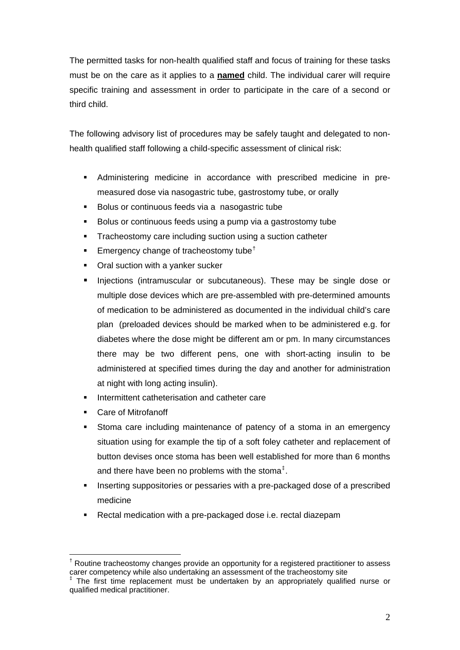The permitted tasks for non-health qualified staff and focus of training for these tasks must be on the care as it applies to a **named** child. The individual carer will require specific training and assessment in order to participate in the care of a second or third child.

The following advisory list of procedures may be safely taught and delegated to nonhealth qualified staff following a child-specific assessment of clinical risk:

- Administering medicine in accordance with prescribed medicine in premeasured dose via nasogastric tube, gastrostomy tube, or orally
- Bolus or continuous feeds via a nasogastric tube
- Bolus or continuous feeds using a pump via a gastrostomy tube
- Tracheostomy care including suction using a suction catheter
- Emergency change of tracheostomy tube[†](#page-1-0)
- Oral suction with a yanker sucker
- Injections (intramuscular or subcutaneous). These may be single dose or multiple dose devices which are pre-assembled with pre-determined amounts of medication to be administered as documented in the individual child's care plan (preloaded devices should be marked when to be administered e.g. for diabetes where the dose might be different am or pm. In many circumstances there may be two different pens, one with short-acting insulin to be administered at specified times during the day and another for administration at night with long acting insulin).
- Intermittent catheterisation and catheter care
- Care of Mitrofanoff

1

- Stoma care including maintenance of patency of a stoma in an emergency situation using for example the tip of a soft foley catheter and replacement of button devises once stoma has been well established for more than 6 months and there have been no problems with the stoma<sup> $\ddagger$ </sup>.
- Inserting suppositories or pessaries with a pre-packaged dose of a prescribed medicine
- Rectal medication with a pre-packaged dose i.e. rectal diazepam

<span id="page-1-0"></span><sup>&</sup>lt;sup>†</sup> Routine tracheostomy changes provide an opportunity for a registered practitioner to assess carer competency while also undertaking an assessment of the tracheostomy site

<span id="page-1-1"></span><sup>‡</sup> The first time replacement must be undertaken by an appropriately qualified nurse or qualified medical practitioner.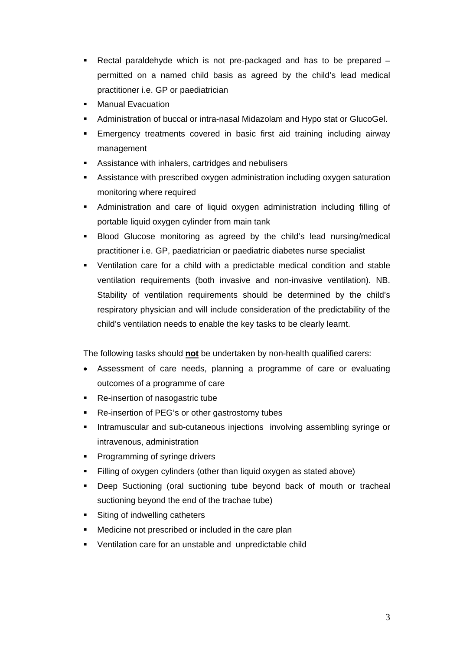- Rectal paraldehyde which is not pre-packaged and has to be prepared permitted on a named child basis as agreed by the child's lead medical practitioner i.e. GP or paediatrician
- Manual Evacuation
- Administration of buccal or intra-nasal Midazolam and Hypo stat or GlucoGel.
- Emergency treatments covered in basic first aid training including airway management
- Assistance with inhalers, cartridges and nebulisers
- Assistance with prescribed oxygen administration including oxygen saturation monitoring where required
- Administration and care of liquid oxygen administration including filling of portable liquid oxygen cylinder from main tank
- **Blood Glucose monitoring as agreed by the child's lead nursing/medical** practitioner i.e. GP, paediatrician or paediatric diabetes nurse specialist
- Ventilation care for a child with a predictable medical condition and stable ventilation requirements (both invasive and non-invasive ventilation). NB. Stability of ventilation requirements should be determined by the child's respiratory physician and will include consideration of the predictability of the child's ventilation needs to enable the key tasks to be clearly learnt.

The following tasks should **not** be undertaken by non-health qualified carers:

- Assessment of care needs, planning a programme of care or evaluating outcomes of a programme of care
- Re-insertion of nasogastric tube
- Re-insertion of PEG's or other gastrostomy tubes
- Intramuscular and sub-cutaneous injections involving assembling syringe or intravenous, administration
- Programming of syringe drivers
- Filling of oxygen cylinders (other than liquid oxygen as stated above)
- Deep Suctioning (oral suctioning tube beyond back of mouth or tracheal suctioning beyond the end of the trachae tube)
- Siting of indwelling catheters
- **Medicine not prescribed or included in the care plan**
- Ventilation care for an unstable and unpredictable child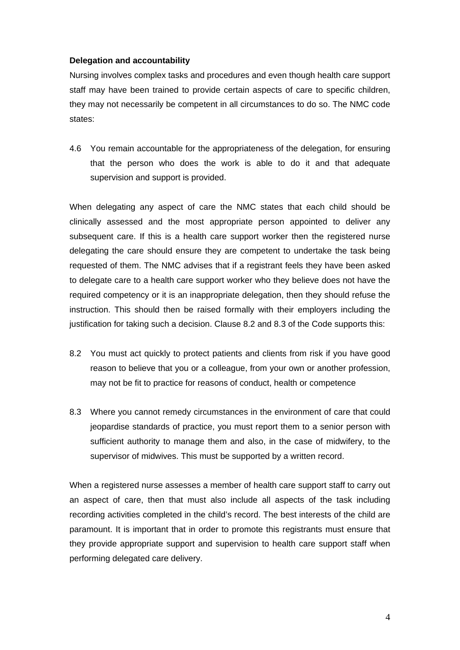#### **Delegation and accountability**

Nursing involves complex tasks and procedures and even though health care support staff may have been trained to provide certain aspects of care to specific children, they may not necessarily be competent in all circumstances to do so. The NMC code states:

4.6 You remain accountable for the appropriateness of the delegation, for ensuring that the person who does the work is able to do it and that adequate supervision and support is provided.

When delegating any aspect of care the NMC states that each child should be clinically assessed and the most appropriate person appointed to deliver any subsequent care. If this is a health care support worker then the registered nurse delegating the care should ensure they are competent to undertake the task being requested of them. The NMC advises that if a registrant feels they have been asked to delegate care to a health care support worker who they believe does not have the required competency or it is an inappropriate delegation, then they should refuse the instruction. This should then be raised formally with their employers including the justification for taking such a decision. Clause 8.2 and 8.3 of the Code supports this:

- 8.2 You must act quickly to protect patients and clients from risk if you have good reason to believe that you or a colleague, from your own or another profession, may not be fit to practice for reasons of conduct, health or competence
- 8.3 Where you cannot remedy circumstances in the environment of care that could jeopardise standards of practice, you must report them to a senior person with sufficient authority to manage them and also, in the case of midwifery, to the supervisor of midwives. This must be supported by a written record.

When a registered nurse assesses a member of health care support staff to carry out an aspect of care, then that must also include all aspects of the task including recording activities completed in the child's record. The best interests of the child are paramount. It is important that in order to promote this registrants must ensure that they provide appropriate support and supervision to health care support staff when performing delegated care delivery.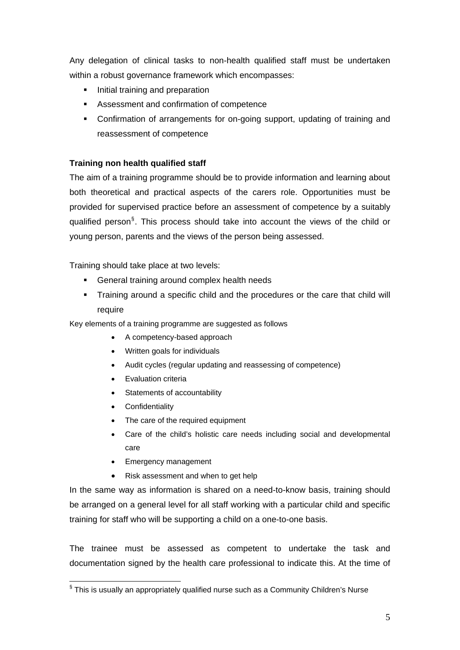Any delegation of clinical tasks to non-health qualified staff must be undertaken within a robust governance framework which encompasses:

- Initial training and preparation
- Assessment and confirmation of competence
- Confirmation of arrangements for on-going support, updating of training and reassessment of competence

# **Training non health qualified staff**

The aim of a training programme should be to provide information and learning about both theoretical and practical aspects of the carers role. Opportunities must be provided for supervised practice before an assessment of competence by a suitably qualified person<sup>[§](#page-4-0)</sup>. This process should take into account the views of the child or young person, parents and the views of the person being assessed.

Training should take place at two levels:

- General training around complex health needs
- Training around a specific child and the procedures or the care that child will require

Key elements of a training programme are suggested as follows

- A competency-based approach
- Written goals for individuals
- Audit cycles (regular updating and reassessing of competence)
- Evaluation criteria
- Statements of accountability
- Confidentiality

1

- The care of the required equipment
- Care of the child's holistic care needs including social and developmental care
- Emergency management
- Risk assessment and when to get help

In the same way as information is shared on a need-to-know basis, training should be arranged on a general level for all staff working with a particular child and specific training for staff who will be supporting a child on a one-to-one basis.

The trainee must be assessed as competent to undertake the task and documentation signed by the health care professional to indicate this. At the time of

<span id="page-4-0"></span> $\frac{8}{3}$  This is usually an appropriately qualified nurse such as a Community Children's Nurse